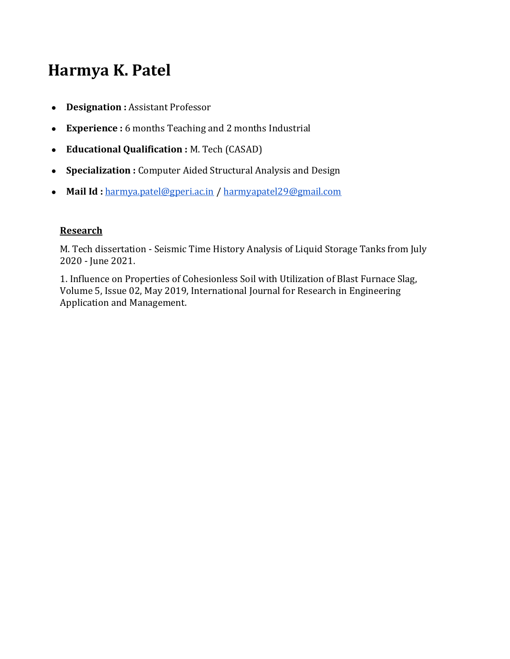## **Harmya K. Patel**

- **Designation :** Assistant Professor
- **Experience :** 6 months Teaching and 2 months Industrial
- **Educational Qualification :** M. Tech (CASAD)
- **Specialization :** Computer Aided Structural Analysis and Design
- **Mail Id :** [harmya.patel@gperi.ac.in](mailto:harmya.patel@gperi.ac.in) / [harmyapatel29@gmail.com](mailto:harmyapatel29@gmail.com)

## **Research**

M. Tech dissertation - Seismic Time History Analysis of Liquid Storage Tanks from July 2020 - June 2021.

1. Influence on Properties of Cohesionless Soil with Utilization of Blast Furnace Slag, Volume 5, Issue 02, May 2019, International Journal for Research in Engineering Application and Management.